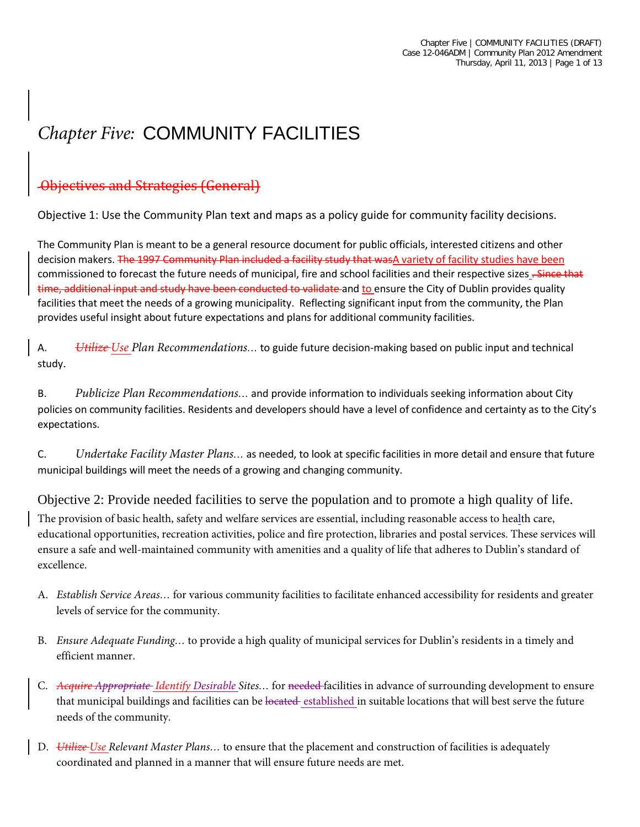# *Chapter Five:* COMMUNITY FACILITIES

## Objectives and Strategies (General)

Objective 1: Use the Community Plan text and maps as a policy guide for community facility decisions.

The Community Plan is meant to be a general resource document for public officials, interested citizens and other decision makers. The 1997 Community Plan included a facility study that wasA variety of facility studies have been commissioned to forecast the future needs of municipal, fire and school facilities and their respective sizes . Since that time, additional input and study have been conducted to validate and to ensure the City of Dublin provides quality facilities that meet the needs of a growing municipality. Reflecting significant input from the community, the Plan provides useful insight about future expectations and plans for additional community facilities.

A. *Utilize Use Plan Recommendations…* to guide future decision-making based on public input and technical study.

B. *Publicize Plan Recommendations…* and provide information to individuals seeking information about City policies on community facilities. Residents and developers should have a level of confidence and certainty as to the City's expectations.

C. *Undertake Facility Master Plans…* as needed, to look at specific facilities in more detail and ensure that future municipal buildings will meet the needs of a growing and changing community.

Objective 2: Provide needed facilities to serve the population and to promote a high quality of life. The provision of basic health, safety and welfare services are essential, including reasonable access to health care, educational opportunities, recreation activities, police and fire protection, libraries and postal services. These services will ensure a safe and well-maintained community with amenities and a quality of life that adheres to Dublin's standard of excellence.

- A. *Establish Service Areas…* for various community facilities to facilitate enhanced accessibility for residents and greater levels of service for the community.
- B. *Ensure Adequate Funding…* to provide a high quality of municipal services for Dublin's residents in a timely and efficient manner.
- C. *Acquire Appropriate Identify Desirable Sites…* for needed facilities in advance of surrounding development to ensure that municipal buildings and facilities can be located established in suitable locations that will best serve the future needs of the community.
- D. *Utilize Use Relevant Master Plans…* to ensure that the placement and construction of facilities is adequately coordinated and planned in a manner that will ensure future needs are met.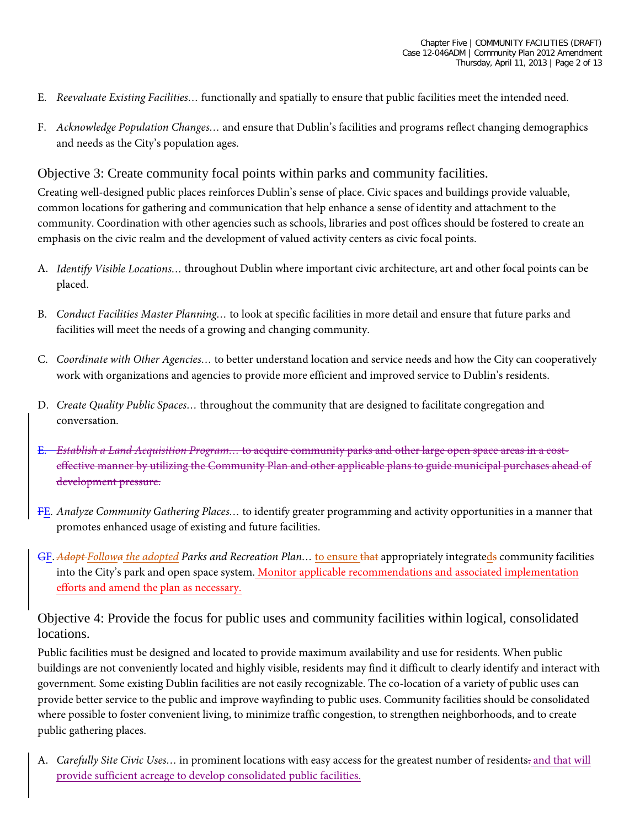- E. *Reevaluate Existing Facilities…* functionally and spatially to ensure that public facilities meet the intended need.
- F. *Acknowledge Population Changes…* and ensure that Dublin's facilities and programs reflect changing demographics and needs as the City's population ages.

Objective 3: Create community focal points within parks and community facilities.

Creating well-designed public places reinforces Dublin's sense of place. Civic spaces and buildings provide valuable, common locations for gathering and communication that help enhance a sense of identity and attachment to the community. Coordination with other agencies such as schools, libraries and post offices should be fostered to create an emphasis on the civic realm and the development of valued activity centers as civic focal points.

- A. *Identify Visible Locations…* throughout Dublin where important civic architecture, art and other focal points can be placed.
- B. *Conduct Facilities Master Planning…* to look at specific facilities in more detail and ensure that future parks and facilities will meet the needs of a growing and changing community.
- C. *Coordinate with Other Agencies…* to better understand location and service needs and how the City can cooperatively work with organizations and agencies to provide more efficient and improved service to Dublin's residents.
- D. *Create Quality Public Spaces…* throughout the community that are designed to facilitate congregation and conversation.
- E. *Establish a Land Acquisition Program…* to acquire community parks and other large open space areas in a costeffective manner by utilizing the Community Plan and other applicable plans to guide municipal purchases ahead of development pressure.
- FE. *Analyze Community Gathering Places…* to identify greater programming and activity opportunities in a manner that promotes enhanced usage of existing and future facilities.
- GF.*Adopt Followa the adopted Parks and Recreation Plan…* to ensure that appropriately integrateds community facilities into the City's park and open space system. Monitor applicable recommendations and associated implementation efforts and amend the plan as necessary.

Objective 4: Provide the focus for public uses and community facilities within logical, consolidated locations.

Public facilities must be designed and located to provide maximum availability and use for residents. When public buildings are not conveniently located and highly visible, residents may find it difficult to clearly identify and interact with government. Some existing Dublin facilities are not easily recognizable. The co-location of a variety of public uses can provide better service to the public and improve wayfinding to public uses. Community facilities should be consolidated where possible to foster convenient living, to minimize traffic congestion, to strengthen neighborhoods, and to create public gathering places.

A. *Carefully Site Civic Uses…* in prominent locations with easy access for the greatest number of residents. and that will provide sufficient acreage to develop consolidated public facilities.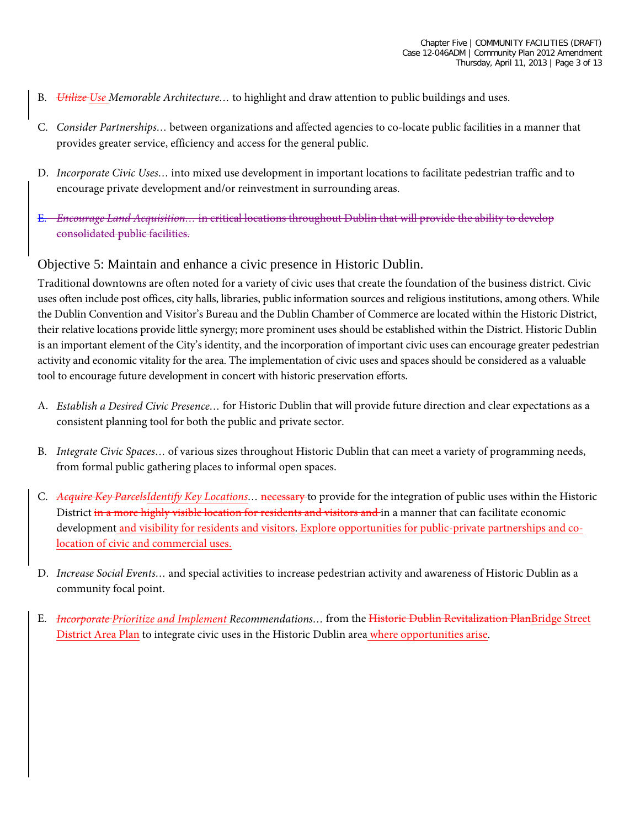- B. *Utilize Use Memorable Architecture…* to highlight and draw attention to public buildings and uses.
- C. *Consider Partnerships…* between organizations and affected agencies to co-locate public facilities in a manner that provides greater service, efficiency and access for the general public.
- D. *Incorporate Civic Uses…* into mixed use development in important locations to facilitate pedestrian traffic and to encourage private development and/or reinvestment in surrounding areas.
- E. *Encourage Land Acquisition…* in critical locations throughout Dublin that will provide the ability to develop consolidated public facilities.

#### Objective 5: Maintain and enhance a civic presence in Historic Dublin.

Traditional downtowns are often noted for a variety of civic uses that create the foundation of the business district. Civic uses often include post offices, city halls, libraries, public information sources and religious institutions, among others. While the Dublin Convention and Visitor's Bureau and the Dublin Chamber of Commerce are located within the Historic District, their relative locations provide little synergy; more prominent uses should be established within the District. Historic Dublin is an important element of the City's identity, and the incorporation of important civic uses can encourage greater pedestrian activity and economic vitality for the area. The implementation of civic uses and spaces should be considered as a valuable tool to encourage future development in concert with historic preservation efforts.

- A. *Establish a Desired Civic Presence…* for Historic Dublin that will provide future direction and clear expectations as a consistent planning tool for both the public and private sector.
- B. *Integrate Civic Spaces…* of various sizes throughout Historic Dublin that can meet a variety of programming needs, from formal public gathering places to informal open spaces.
- C. *Acquire Key ParcelsIdentify Key Locations…* necessary to provide for the integration of public uses within the Historic District in a more highly visible location for residents and visitors and in a manner that can facilitate economic development and visibility for residents and visitors. Explore opportunities for public-private partnerships and colocation of civic and commercial uses.
- D. *Increase Social Events…* and special activities to increase pedestrian activity and awareness of Historic Dublin as a community focal point.
- E. *Incorporate Prioritize and Implement Recommendations…* from the Historic Dublin Revitalization PlanBridge Street District Area Plan to integrate civic uses in the Historic Dublin area where opportunities arise.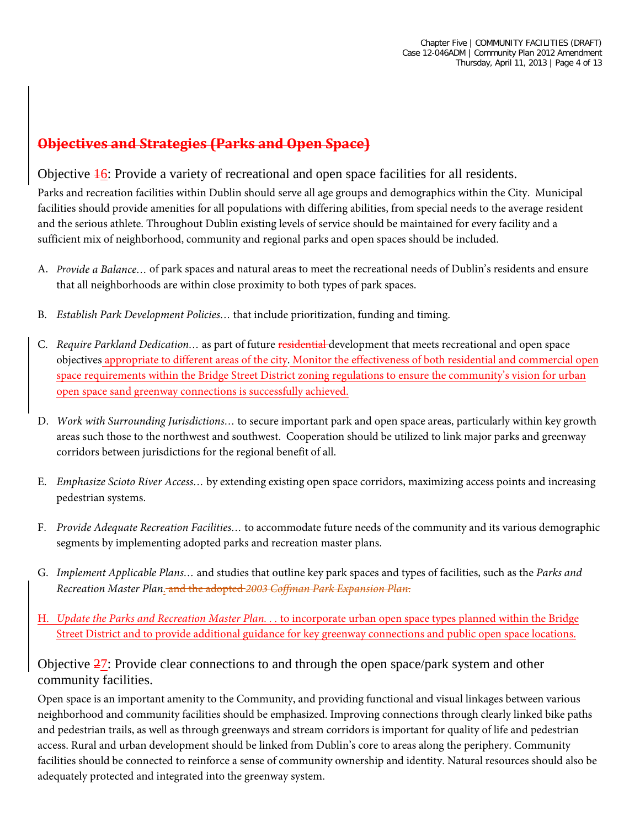## **Objectives and Strategies (Parks and Open Space)**

#### Objective  $\frac{1}{6}$ : Provide a variety of recreational and open space facilities for all residents.

Parks and recreation facilities within Dublin should serve all age groups and demographics within the City. Municipal facilities should provide amenities for all populations with differing abilities, from special needs to the average resident and the serious athlete. Throughout Dublin existing levels of service should be maintained for every facility and a sufficient mix of neighborhood, community and regional parks and open spaces should be included.

- A. *Provide a Balance…* of park spaces and natural areas to meet the recreational needs of Dublin's residents and ensure that all neighborhoods are within close proximity to both types of park spaces.
- B. *Establish Park Development Policies…* that include prioritization, funding and timing.
- C. *Require Parkland Dedication…* as part of future residential development that meets recreational and open space objectives appropriate to different areas of the city. Monitor the effectiveness of both residential and commercial open space requirements within the Bridge Street District zoning regulations to ensure the community's vision for urban open space sand greenway connections is successfully achieved.
- D. *Work with Surrounding Jurisdictions…* to secure important park and open space areas, particularly within key growth areas such those to the northwest and southwest. Cooperation should be utilized to link major parks and greenway corridors between jurisdictions for the regional benefit of all.
- E. *Emphasize Scioto River Access…* by extending existing open space corridors, maximizing access points and increasing pedestrian systems.
- F. *Provide Adequate Recreation Facilities…* to accommodate future needs of the community and its various demographic segments by implementing adopted parks and recreation master plans.
- G. *Implement Applicable Plans…* and studies that outline key park spaces and types of facilities, such as the *Parks and Recreation Master Plan*. and the adopted *2003 Coffman Park Expansion Plan*.
- H. *Update the Parks and Recreation Master Plan. . .* to incorporate urban open space types planned within the Bridge Street District and to provide additional guidance for key greenway connections and public open space locations.

#### Objective  $\frac{27}{12}$ : Provide clear connections to and through the open space/park system and other community facilities.

Open space is an important amenity to the Community, and providing functional and visual linkages between various neighborhood and community facilities should be emphasized. Improving connections through clearly linked bike paths and pedestrian trails, as well as through greenways and stream corridors is important for quality of life and pedestrian access. Rural and urban development should be linked from Dublin's core to areas along the periphery. Community facilities should be connected to reinforce a sense of community ownership and identity. Natural resources should also be adequately protected and integrated into the greenway system.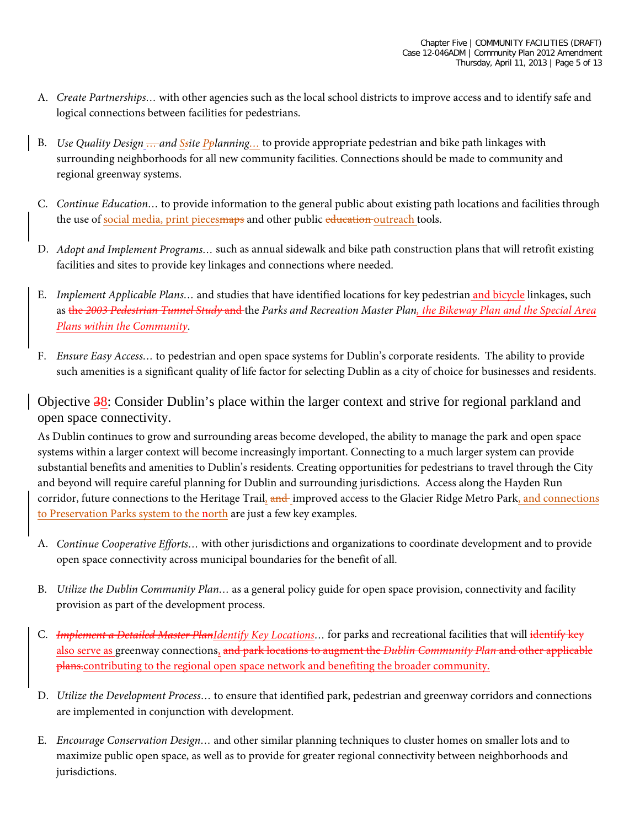- A. *Create Partnerships…* with other agencies such as the local school districts to improve access and to identify safe and logical connections between facilities for pedestrians.
- B. *Use Quality Design … and Ssite Pplanning…* to provide appropriate pedestrian and bike path linkages with surrounding neighborhoods for all new community facilities. Connections should be made to community and regional greenway systems.
- C. *Continue Education…* to provide information to the general public about existing path locations and facilities through the use of social media, print pieces maps and other public education outreach tools.
- D. *Adopt and Implement Programs…* such as annual sidewalk and bike path construction plans that will retrofit existing facilities and sites to provide key linkages and connections where needed.
- E. *Implement Applicable Plans…* and studies that have identified locations for key pedestrian and bicycle linkages, such as the *2003 Pedestrian Tunnel Study* and the *Parks and Recreation Master Plan, the Bikeway Plan and the Special Area Plans within the Community*.
- F. *Ensure Easy Access…* to pedestrian and open space systems for Dublin's corporate residents. The ability to provide such amenities is a significant quality of life factor for selecting Dublin as a city of choice for businesses and residents.

Objective 38: Consider Dublin's place within the larger context and strive for regional parkland and open space connectivity.

As Dublin continues to grow and surrounding areas become developed, the ability to manage the park and open space systems within a larger context will become increasingly important. Connecting to a much larger system can provide substantial benefits and amenities to Dublin's residents. Creating opportunities for pedestrians to travel through the City and beyond will require careful planning for Dublin and surrounding jurisdictions. Access along the Hayden Run corridor, future connections to the Heritage Trail, and improved access to the Glacier Ridge Metro Park, and connections to Preservation Parks system to the north are just a few key examples.

- A. *Continue Cooperative Efforts…* with other jurisdictions and organizations to coordinate development and to provide open space connectivity across municipal boundaries for the benefit of all.
- B. *Utilize the Dublin Community Plan…* as a general policy guide for open space provision, connectivity and facility provision as part of the development process.
- C. *Implement a Detailed Master PlanIdentify Key Locations…* for parks and recreational facilities that will identify key also serve as greenway connections, and park locations to augment the *Dublin Community Plan* and other applicable plans.contributing to the regional open space network and benefiting the broader community.
- D. *Utilize the Development Process…* to ensure that identified park, pedestrian and greenway corridors and connections are implemented in conjunction with development.
- E. *Encourage Conservation Design…* and other similar planning techniques to cluster homes on smaller lots and to maximize public open space, as well as to provide for greater regional connectivity between neighborhoods and jurisdictions.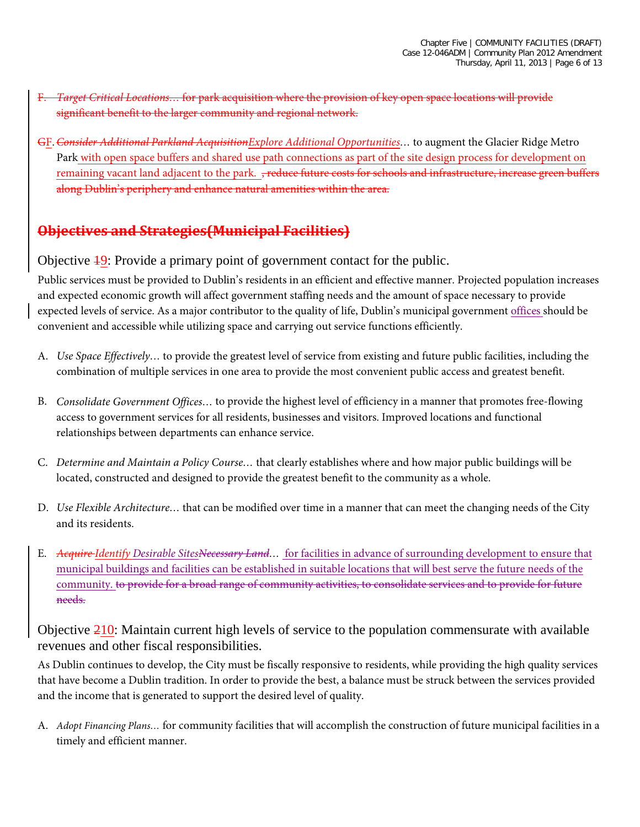- F. *Target Critical Locations…* for park acquisition where the provision of key open space locations will provide significant benefit to the larger community and regional network.
- GF.*Consider Additional Parkland AcquisitionExplore Additional Opportunities…* to augment the Glacier Ridge Metro Park with open space buffers and shared use path connections as part of the site design process for development on remaining vacant land adjacent to the park. <del>, reduce future costs for schools and infrastructure, increase green buffers</del> along Dublin's periphery and enhance natural amenities within the area.

#### **Objectives and Strategies(Municipal Facilities)**

Objective 19: Provide a primary point of government contact for the public.

Public services must be provided to Dublin's residents in an efficient and effective manner. Projected population increases and expected economic growth will affect government staffing needs and the amount of space necessary to provide expected levels of service. As a major contributor to the quality of life, Dublin's municipal government offices should be convenient and accessible while utilizing space and carrying out service functions efficiently.

- A. *Use Space Effectively…* to provide the greatest level of service from existing and future public facilities, including the combination of multiple services in one area to provide the most convenient public access and greatest benefit.
- B. *Consolidate Government Offices…* to provide the highest level of efficiency in a manner that promotes free-flowing access to government services for all residents, businesses and visitors. Improved locations and functional relationships between departments can enhance service.
- C. *Determine and Maintain a Policy Course…* that clearly establishes where and how major public buildings will be located, constructed and designed to provide the greatest benefit to the community as a whole.
- D. *Use Flexible Architecture…* that can be modified over time in a manner that can meet the changing needs of the City and its residents.
- E. *Acquire Identify Desirable SitesNecessary Land…* for facilities in advance of surrounding development to ensure that municipal buildings and facilities can be established in suitable locations that will best serve the future needs of the community. to provide for a broad range of community activities, to consolidate services and to provide for future needs.

Objective 210: Maintain current high levels of service to the population commensurate with available revenues and other fiscal responsibilities.

As Dublin continues to develop, the City must be fiscally responsive to residents, while providing the high quality services that have become a Dublin tradition. In order to provide the best, a balance must be struck between the services provided and the income that is generated to support the desired level of quality.

A. *Adopt Financing Plans…* for community facilities that will accomplish the construction of future municipal facilities in a timely and efficient manner.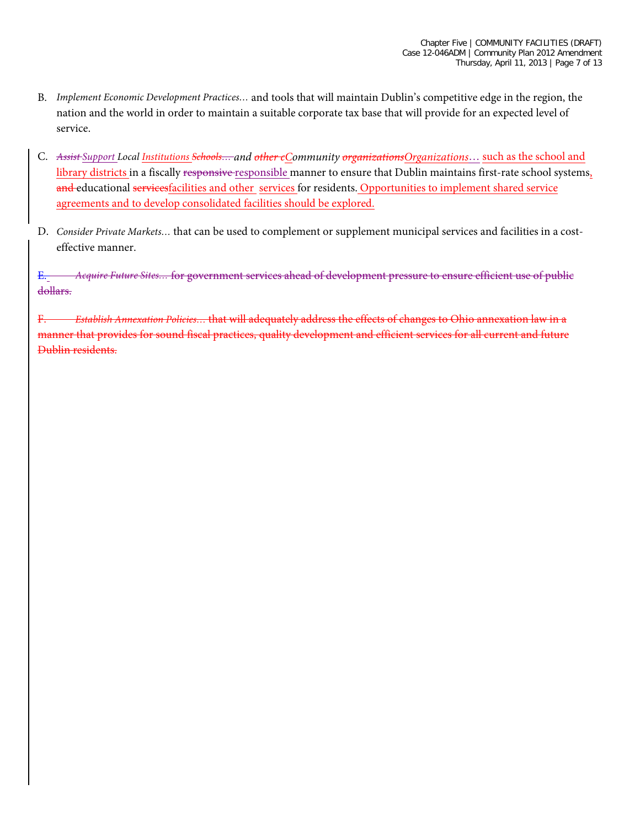- B. *Implement Economic Development Practices…* and tools that will maintain Dublin's competitive edge in the region, the nation and the world in order to maintain a suitable corporate tax base that will provide for an expected level of service.
- C. *Assist* Support Local *Institutions Schools*... and other eCommunity organizations Organizations... such as the school and library districts in a fiscally responsive responsible manner to ensure that Dublin maintains first-rate school systems, and educational servicesfacilities and other services for residents. Opportunities to implement shared service agreements and to develop consolidated facilities should be explored.
- D. *Consider Private Markets…* that can be used to complement or supplement municipal services and facilities in a costeffective manner.

E. *Acquire Future Sites…* for government services ahead of development pressure to ensure efficient use of public dollars.

F. *Establish Annexation Policies…* that will adequately address the effects of changes to Ohio annexation law in a manner that provides for sound fiscal practices, quality development and efficient services for all current and future Dublin residents.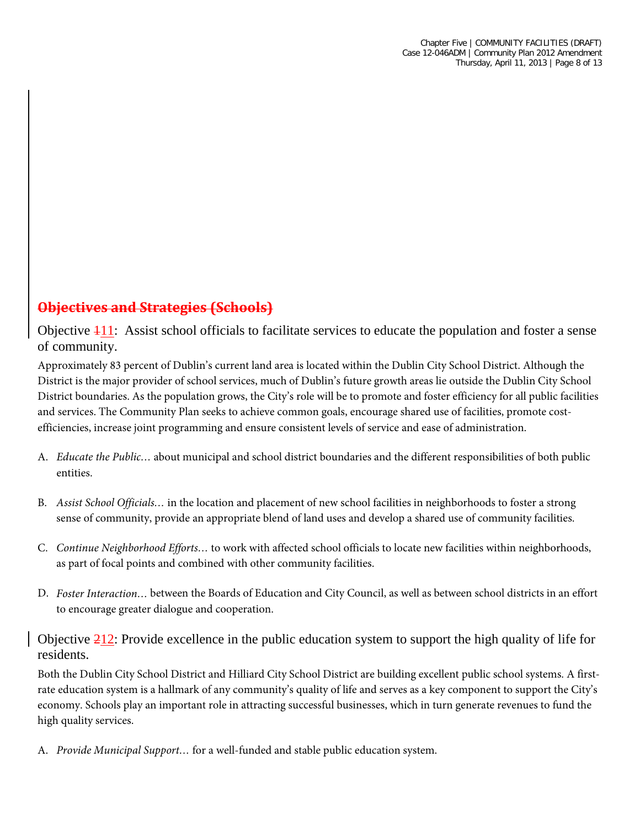## **Objectives and Strategies (Schools)**

Objective 111: Assist school officials to facilitate services to educate the population and foster a sense of community.

Approximately 83 percent of Dublin's current land area is located within the Dublin City School District. Although the District is the major provider of school services, much of Dublin's future growth areas lie outside the Dublin City School District boundaries. As the population grows, the City's role will be to promote and foster efficiency for all public facilities and services. The Community Plan seeks to achieve common goals, encourage shared use of facilities, promote costefficiencies, increase joint programming and ensure consistent levels of service and ease of administration.

- A. *Educate the Public…* about municipal and school district boundaries and the different responsibilities of both public entities.
- B. *Assist School Officials…* in the location and placement of new school facilities in neighborhoods to foster a strong sense of community, provide an appropriate blend of land uses and develop a shared use of community facilities.
- C. *Continue Neighborhood Efforts…* to work with affected school officials to locate new facilities within neighborhoods, as part of focal points and combined with other community facilities.
- D. *Foster Interaction…* between the Boards of Education and City Council, as well as between school districts in an effort to encourage greater dialogue and cooperation.

Objective  $\frac{212}{1}$ : Provide excellence in the public education system to support the high quality of life for residents.

Both the Dublin City School District and Hilliard City School District are building excellent public school systems. A firstrate education system is a hallmark of any community's quality of life and serves as a key component to support the City's economy. Schools play an important role in attracting successful businesses, which in turn generate revenues to fund the high quality services.

A. *Provide Municipal Support…* for a well-funded and stable public education system.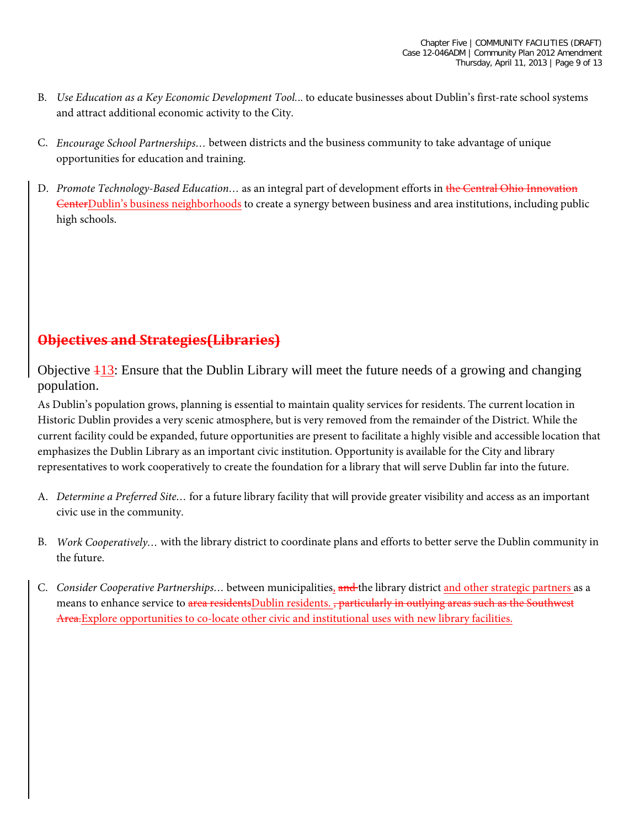- B. *Use Education as a Key Economic Development Tool.*.. to educate businesses about Dublin's first-rate school systems and attract additional economic activity to the City.
- C. *Encourage School Partnerships…* between districts and the business community to take advantage of unique opportunities for education and training.
- D. *Promote Technology-Based Education*... as an integral part of development efforts in the Central Ohio Innovation CenterDublin's business neighborhoods to create a synergy between business and area institutions, including public high schools.

#### **Objectives and Strategies(Libraries)**

Objective 113: Ensure that the Dublin Library will meet the future needs of a growing and changing population.

As Dublin's population grows, planning is essential to maintain quality services for residents. The current location in Historic Dublin provides a very scenic atmosphere, but is very removed from the remainder of the District. While the current facility could be expanded, future opportunities are present to facilitate a highly visible and accessible location that emphasizes the Dublin Library as an important civic institution. Opportunity is available for the City and library representatives to work cooperatively to create the foundation for a library that will serve Dublin far into the future.

- A. *Determine a Preferred Site…* for a future library facility that will provide greater visibility and access as an important civic use in the community.
- B. *Work Cooperatively…* with the library district to coordinate plans and efforts to better serve the Dublin community in the future.
- C. *Consider Cooperative Partnerships…* between municipalities, and the library district and other strategic partners as a means to enhance service to area residentsDublin residents. , particularly in outlying areas such as the Southwest Area.Explore opportunities to co-locate other civic and institutional uses with new library facilities.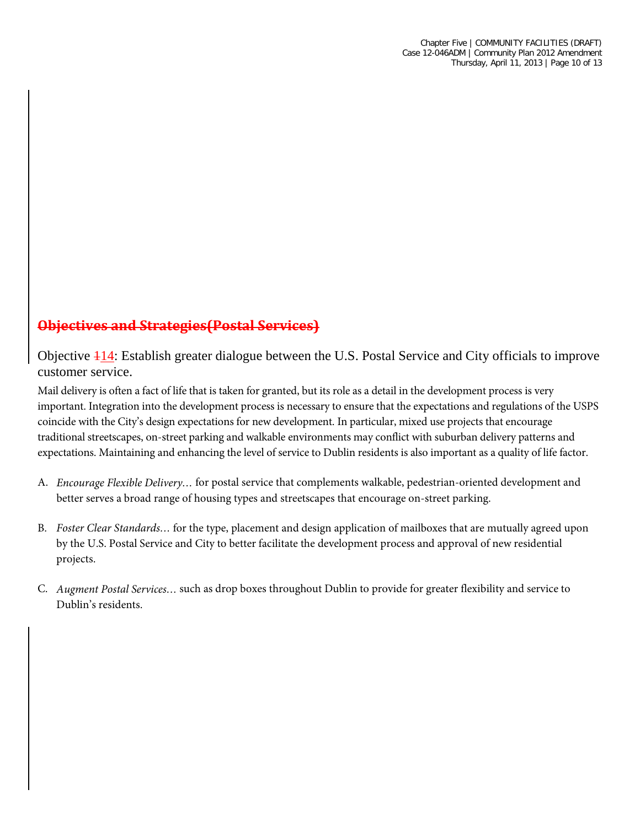## **Objectives and Strategies(Postal Services)**

Objective 114: Establish greater dialogue between the U.S. Postal Service and City officials to improve customer service.

Mail delivery is often a fact of life that is taken for granted, but its role as a detail in the development process is very important. Integration into the development process is necessary to ensure that the expectations and regulations of the USPS coincide with the City's design expectations for new development. In particular, mixed use projects that encourage traditional streetscapes, on-street parking and walkable environments may conflict with suburban delivery patterns and expectations. Maintaining and enhancing the level of service to Dublin residents is also important as a quality of life factor.

- A. *Encourage Flexible Delivery…* for postal service that complements walkable, pedestrian-oriented development and better serves a broad range of housing types and streetscapes that encourage on-street parking.
- B. *Foster Clear Standards…* for the type, placement and design application of mailboxes that are mutually agreed upon by the U.S. Postal Service and City to better facilitate the development process and approval of new residential projects.
- C. *Augment Postal Services…* such as drop boxes throughout Dublin to provide for greater flexibility and service to Dublin's residents.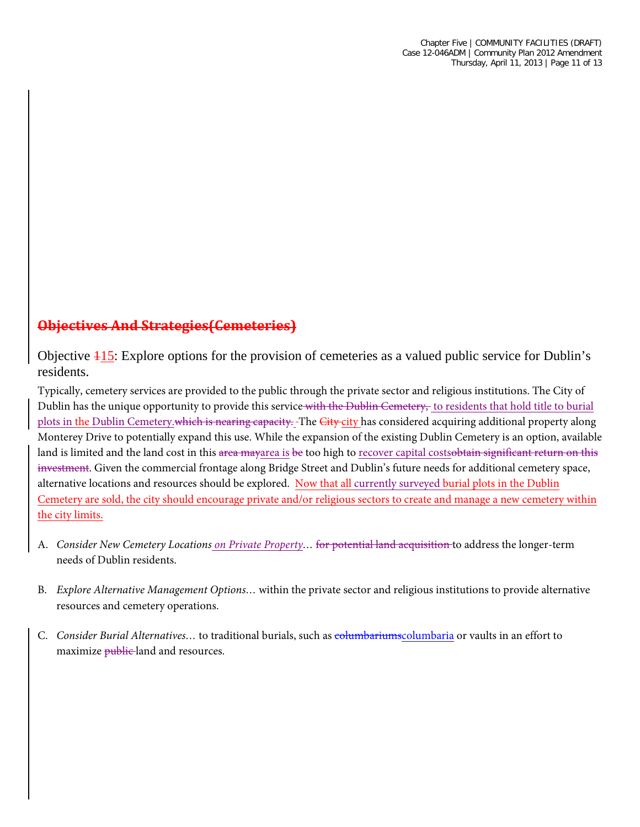## **Objectives And Strategies(Cemeteries)**

Objective 115: Explore options for the provision of cemeteries as a valued public service for Dublin's residents.

Typically, cemetery services are provided to the public through the private sector and religious institutions. The City of Dublin has the unique opportunity to provide this service with the Dublin Cemetery, to residents that hold title to burial plots in the Dublin Cemetery.which is nearing capacity. The City city has considered acquiring additional property along Monterey Drive to potentially expand this use. While the expansion of the existing Dublin Cemetery is an option, available land is limited and the land cost in this area mayarea is be too high to recover capital costsobtain significant return on this investment. Given the commercial frontage along Bridge Street and Dublin's future needs for additional cemetery space, alternative locations and resources should be explored. Now that all currently surveyed burial plots in the Dublin Cemetery are sold, the city should encourage private and/or religious sectors to create and manage a new cemetery within the city limits.

- A. *Consider New Cemetery Locations on Private Property…* for potential land acquisition to address the longer-term needs of Dublin residents.
- B. *Explore Alternative Management Options…* within the private sector and religious institutions to provide alternative resources and cemetery operations.
- C. *Consider Burial Alternatives…* to traditional burials, such as columbariumscolumbaria or vaults in an effort to maximize public land and resources.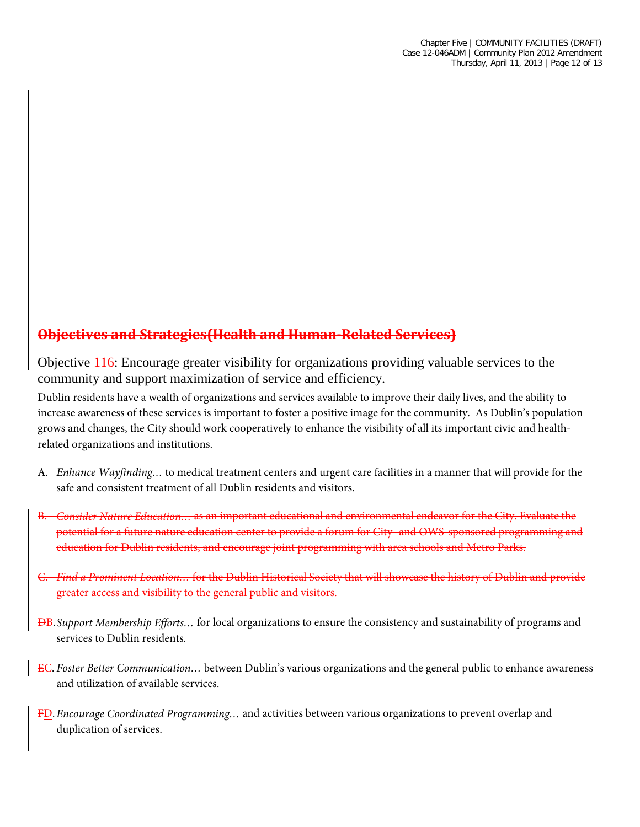## **Objectives and Strategies(Health and Human-Related Services)**

Objective 116: Encourage greater visibility for organizations providing valuable services to the community and support maximization of service and efficiency.

Dublin residents have a wealth of organizations and services available to improve their daily lives, and the ability to increase awareness of these services is important to foster a positive image for the community. As Dublin's population grows and changes, the City should work cooperatively to enhance the visibility of all its important civic and healthrelated organizations and institutions.

- A. *Enhance Wayfinding…* to medical treatment centers and urgent care facilities in a manner that will provide for the safe and consistent treatment of all Dublin residents and visitors.
- B. *Consider Nature Education…* as an important educational and environmental endeavor for the City. Evaluate the potential for a future nature education center to provide a forum for City- and OWS-sponsored programming and education for Dublin residents, and encourage joint programming with area schools and Metro Parks.
- C. *Find a Prominent Location…* for the Dublin Historical Society that will showcase the history of Dublin and provide greater access and visibility to the general public and visitors.
- DB.*Support Membership Efforts…* for local organizations to ensure the consistency and sustainability of programs and services to Dublin residents.
- EC. *Foster Better Communication…* between Dublin's various organizations and the general public to enhance awareness and utilization of available services.
- FD.*Encourage Coordinated Programming…* and activities between various organizations to prevent overlap and duplication of services.